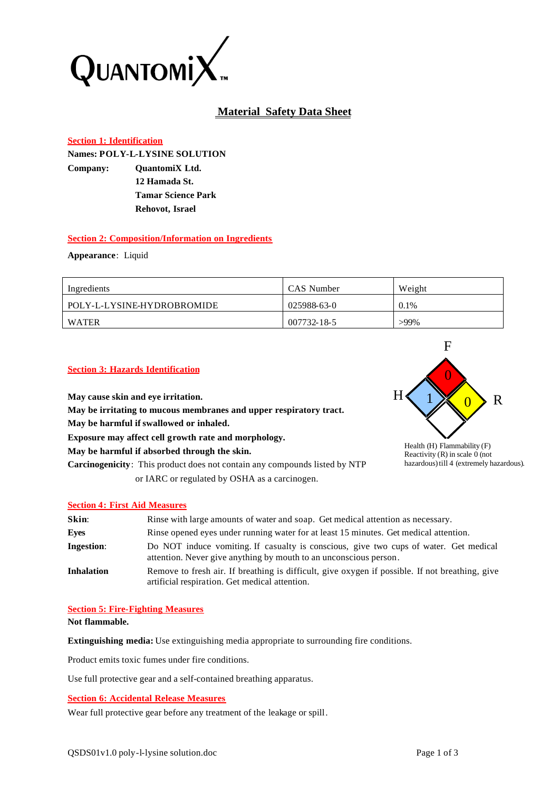

# **Material Safety Data Sheet**

## **Section 1: Identification**

**Names: POLY-L-LYSINE SOLUTION Company: QuantomiX Ltd. 12 Hamada St. Tamar Science Park Rehovot, Israel**

## **Section 2: Composition/Information on Ingredients**

**Appearance**: Liquid

| Ingredients                | CAS Number  | Weight  |
|----------------------------|-------------|---------|
| POLY-L-LYSINE-HYDROBROMIDE | 025988-63-0 | 0.1%    |
| WATER                      | 007732-18-5 | $>99\%$ |

#### **Section 3: Hazards Identification**

**May cause skin and eye irritation. May be irritating to mucous membranes and upper respiratory tract. May be harmful if swallowed or inhaled. Exposure may affect cell growth rate and morphology. May be harmful if absorbed through the skin. Carcinogenicity**: This product does not contain any compounds listed by NTP or IARC or regulated by OSHA as a carcinogen.



Health (H) Flammability (F) Reactivity  $(R)$  in scale 0 (not hazardous) till 4 (extremely hazardous).

## **Section 4: First Aid Measures**

| Skin:             | Rinse with large amounts of water and soap. Get medical attention as necessary.                                                                            |
|-------------------|------------------------------------------------------------------------------------------------------------------------------------------------------------|
| Eyes              | Rinse opened eyes under running water for at least 15 minutes. Get medical attention.                                                                      |
| <b>Ingestion:</b> | Do NOT induce vomiting. If casualty is conscious, give two cups of water. Get medical<br>attention. Never give anything by mouth to an unconscious person. |
| <b>Inhalation</b> | Remove to fresh air. If breathing is difficult, give oxygen if possible. If not breathing, give<br>artificial respiration. Get medical attention.          |

#### **Section 5: Fire-Fighting Measures**

**Not flammable.**

**Extinguishing media:** Use extinguishing media appropriate to surrounding fire conditions.

Product emits toxic fumes under fire conditions.

Use full protective gear and a self-contained breathing apparatus.

#### **Section 6: Accidental Release Measures**

Wear full protective gear before any treatment of the leakage or spill.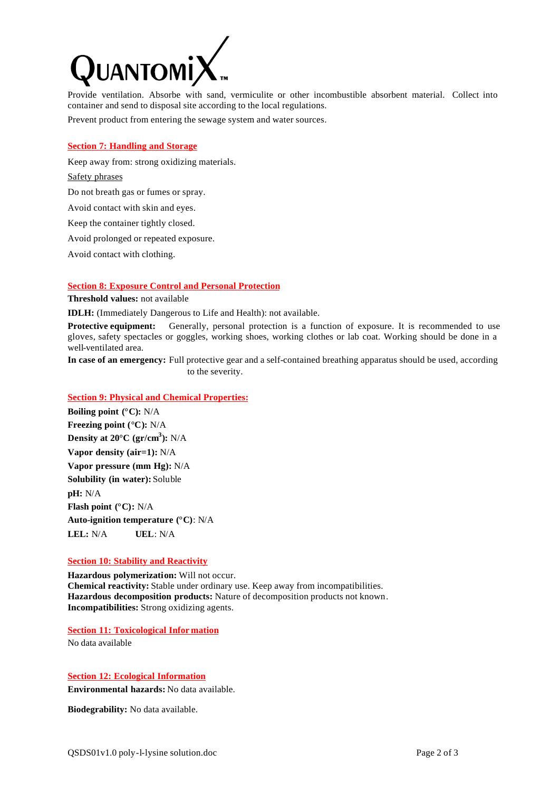

Provide ventilation. Absorbe with sand, vermiculite or other incombustible absorbent material. Collect into container and send to disposal site according to the local regulations.

Prevent product from entering the sewage system and water sources.

#### **Section 7: Handling and Storage**

Keep away from: strong oxidizing materials.

## Safety phrases

Do not breath gas or fumes or spray.

Avoid contact with skin and eyes.

Keep the container tightly closed.

Avoid prolonged or repeated exposure.

Avoid contact with clothing.

#### **Section 8: Exposure Control and Personal Protection**

**Threshold values:** not available

**IDLH:** (Immediately Dangerous to Life and Health): not available.

**Protective equipment:** Generally, personal protection is a function of exposure. It is recommended to use gloves, safety spectacles or goggles, working shoes, working clothes or lab coat. Working should be done in a well-ventilated area.

**In case of an emergency:** Full protective gear and a self-contained breathing apparatus should be used, according to the severity.

## **Section 9: Physical and Chemical Properties:**

**Boiling point (°C):** N/A **Freezing point (°C):** N/A **Density at 20°C (gr/cm<sup>3</sup> ):** N/A **Vapor density (air=1):** N/A **Vapor pressure (mm Hg):** N/A **Solubility (in water):** Soluble **pH:** N/A **Flash point (°C):** N/A **Auto-ignition temperature (°C)**: N/A **LEL:** N/A **UEL**: N/A

#### **Section 10: Stability and Reactivity**

**Hazardous polymerization:** Will not occur. **Chemical reactivity:** Stable under ordinary use. Keep away from incompatibilities. **Hazardous decomposition products:** Nature of decomposition products not known. **Incompatibilities:** Strong oxidizing agents.

## **Section 11: Toxicological Infor mation**

No data available

## **Section 12: Ecological Information**

**Environmental hazards:** No data available.

**Biodegrability:** No data available.